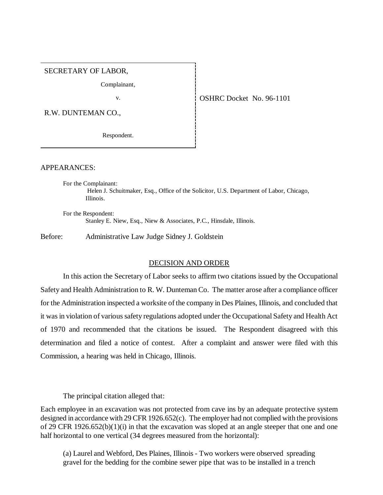## SECRETARY OF LABOR,

Complainant,

R.W. DUNTEMAN CO.,

Respondent.

v. COSHRC Docket No. 96-1101

APPEARANCES:

For the Complainant: Helen J. Schuitmaker, Esq., Office of the Solicitor, U.S. Department of Labor, Chicago, Illinois.

For the Respondent: Stanley E. Niew, Esq., Niew & Associates, P.C., Hinsdale, Illinois.

Before: Administrative Law Judge Sidney J. Goldstein

## DECISION AND ORDER

In this action the Secretary of Labor seeks to affirm two citations issued by the Occupational Safety and Health Administration to R. W. Dunteman Co. The matter arose after a compliance officer for the Administration inspected a worksite of the company in Des Plaines, Illinois, and concluded that it was in violation of various safety regulations adopted under the Occupational Safety and Health Act of 1970 and recommended that the citations be issued. The Respondent disagreed with this determination and filed a notice of contest. After a complaint and answer were filed with this Commission, a hearing was held in Chicago, Illinois.

The principal citation alleged that:

Each employee in an excavation was not protected from cave ins by an adequate protective system designed in accordance with 29 CFR 1926.652(c). The employer had not complied with the provisions of 29 CFR 1926.652(b)(1)(i) in that the excavation was sloped at an angle steeper that one and one half horizontal to one vertical (34 degrees measured from the horizontal):

(a) Laurel and Webford, Des Plaines, Illinois - Two workers were observed spreading gravel for the bedding for the combine sewer pipe that was to be installed in a trench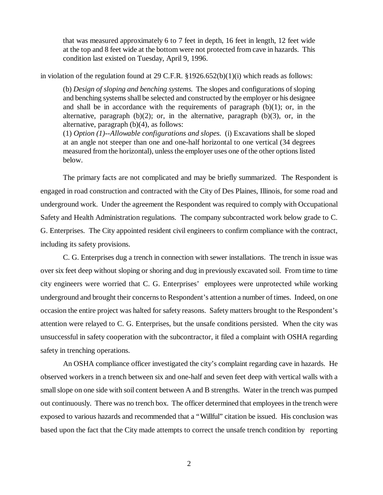that was measured approximately 6 to 7 feet in depth, 16 feet in length, 12 feet wide at the top and 8 feet wide at the bottom were not protected from cave in hazards. This condition last existed on Tuesday, April 9, 1996.

in violation of the regulation found at 29 C.F.R.  $\S 1926.652(b)(1)(i)$  which reads as follows:

(b) *Design of sloping and benching systems.* The slopes and configurations of sloping and benching systems shall be selected and constructed by the employer or his designee and shall be in accordance with the requirements of paragraph  $(b)(1)$ ; or, in the alternative, paragraph  $(b)(2)$ ; or, in the alternative, paragraph  $(b)(3)$ , or, in the alternative, paragraph (b)(4), as follows:

(1) *Option (1)--Allowable configurations and slopes.* (i) Excavations shall be sloped at an angle not steeper than one and one-half horizontal to one vertical (34 degrees measured from the horizontal), unless the employer uses one of the other options listed below.

The primary facts are not complicated and may be briefly summarized. The Respondent is engaged in road construction and contracted with the City of Des Plaines, Illinois, for some road and underground work. Under the agreement the Respondent was required to comply with Occupational Safety and Health Administration regulations. The company subcontracted work below grade to C. G. Enterprises. The City appointed resident civil engineers to confirm compliance with the contract, including its safety provisions.

C. G. Enterprises dug a trench in connection with sewer installations. The trench in issue was over six feet deep without sloping or shoring and dug in previously excavated soil. From time to time city engineers were worried that C. G. Enterprises' employees were unprotected while working underground and brought their concerns to Respondent's attention a number of times. Indeed, on one occasion the entire project was halted for safety reasons. Safety matters brought to the Respondent's attention were relayed to C. G. Enterprises, but the unsafe conditions persisted. When the city was unsuccessful in safety cooperation with the subcontractor, it filed a complaint with OSHA regarding safety in trenching operations.

An OSHA compliance officer investigated the city's complaint regarding cave in hazards. He observed workers in a trench between six and one-half and seven feet deep with vertical walls with a small slope on one side with soil content between A and B strengths. Water in the trench was pumped out continuously. There was no trench box. The officer determined that employees in the trench were exposed to various hazards and recommended that a "Willful" citation be issued. His conclusion was based upon the fact that the City made attempts to correct the unsafe trench condition by reporting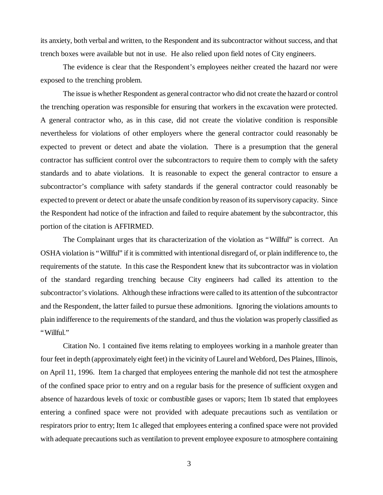its anxiety, both verbal and written, to the Respondent and its subcontractor without success, and that trench boxes were available but not in use. He also relied upon field notes of City engineers.

The evidence is clear that the Respondent's employees neither created the hazard nor were exposed to the trenching problem.

The issue is whether Respondent as general contractor who did not create the hazard or control the trenching operation was responsible for ensuring that workers in the excavation were protected. A general contractor who, as in this case, did not create the violative condition is responsible nevertheless for violations of other employers where the general contractor could reasonably be expected to prevent or detect and abate the violation. There is a presumption that the general contractor has sufficient control over the subcontractors to require them to comply with the safety standards and to abate violations. It is reasonable to expect the general contractor to ensure a subcontractor's compliance with safety standards if the general contractor could reasonably be expected to prevent or detect or abate the unsafe condition by reason of its supervisory capacity. Since the Respondent had notice of the infraction and failed to require abatement by the subcontractor, this portion of the citation is AFFIRMED.

The Complainant urges that its characterization of the violation as "Willful" is correct. An OSHA violation is "Willful" if it is committed with intentional disregard of, or plain indifference to, the requirements of the statute. In this case the Respondent knew that its subcontractor was in violation of the standard regarding trenching because City engineers had called its attention to the subcontractor's violations. Although these infractions were called to its attention of the subcontractor and the Respondent, the latter failed to pursue these admonitions. Ignoring the violations amounts to plain indifference to the requirements of the standard, and thus the violation was properly classified as "Willful."

Citation No. 1 contained five items relating to employees working in a manhole greater than four feet in depth (approximately eight feet) in the vicinity of Laurel and Webford, Des Plaines, Illinois, on April 11, 1996. Item 1a charged that employees entering the manhole did not test the atmosphere of the confined space prior to entry and on a regular basis for the presence of sufficient oxygen and absence of hazardous levels of toxic or combustible gases or vapors; Item 1b stated that employees entering a confined space were not provided with adequate precautions such as ventilation or respirators prior to entry; Item 1c alleged that employees entering a confined space were not provided with adequate precautions such as ventilation to prevent employee exposure to atmosphere containing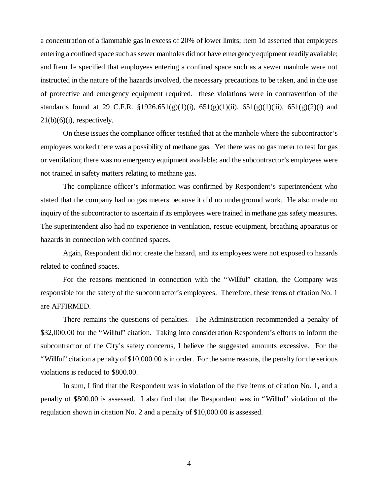a concentration of a flammable gas in excess of 20% of lower limits; Item 1d asserted that employees entering a confined space such as sewer manholes did not have emergency equipment readily available; and Item 1e specified that employees entering a confined space such as a sewer manhole were not instructed in the nature of the hazards involved, the necessary precautions to be taken, and in the use of protective and emergency equipment required. these violations were in contravention of the standards found at 29 C.F.R. §1926.651(g)(1)(i),  $651(g)(1)(ii)$ ,  $651(g)(1)(iii)$ ,  $651(g)(2)(i)$  and  $21(b)(6)(i)$ , respectively.

On these issues the compliance officer testified that at the manhole where the subcontractor's employees worked there was a possibility of methane gas. Yet there was no gas meter to test for gas or ventilation; there was no emergency equipment available; and the subcontractor's employees were not trained in safety matters relating to methane gas.

The compliance officer's information was confirmed by Respondent's superintendent who stated that the company had no gas meters because it did no underground work. He also made no inquiry of the subcontractor to ascertain if its employees were trained in methane gas safety measures. The superintendent also had no experience in ventilation, rescue equipment, breathing apparatus or hazards in connection with confined spaces.

Again, Respondent did not create the hazard, and its employees were not exposed to hazards related to confined spaces.

For the reasons mentioned in connection with the "Willful" citation, the Company was responsible for the safety of the subcontractor's employees. Therefore, these items of citation No. 1 are AFFIRMED.

There remains the questions of penalties. The Administration recommended a penalty of \$32,000.00 for the "Willful" citation. Taking into consideration Respondent's efforts to inform the subcontractor of the City's safety concerns, I believe the suggested amounts excessive. For the "Willful" citation a penalty of \$10,000.00 is in order. For the same reasons, the penalty for the serious violations is reduced to \$800.00.

In sum, I find that the Respondent was in violation of the five items of citation No. 1, and a penalty of \$800.00 is assessed. I also find that the Respondent was in "Willful" violation of the regulation shown in citation No. 2 and a penalty of \$10,000.00 is assessed.